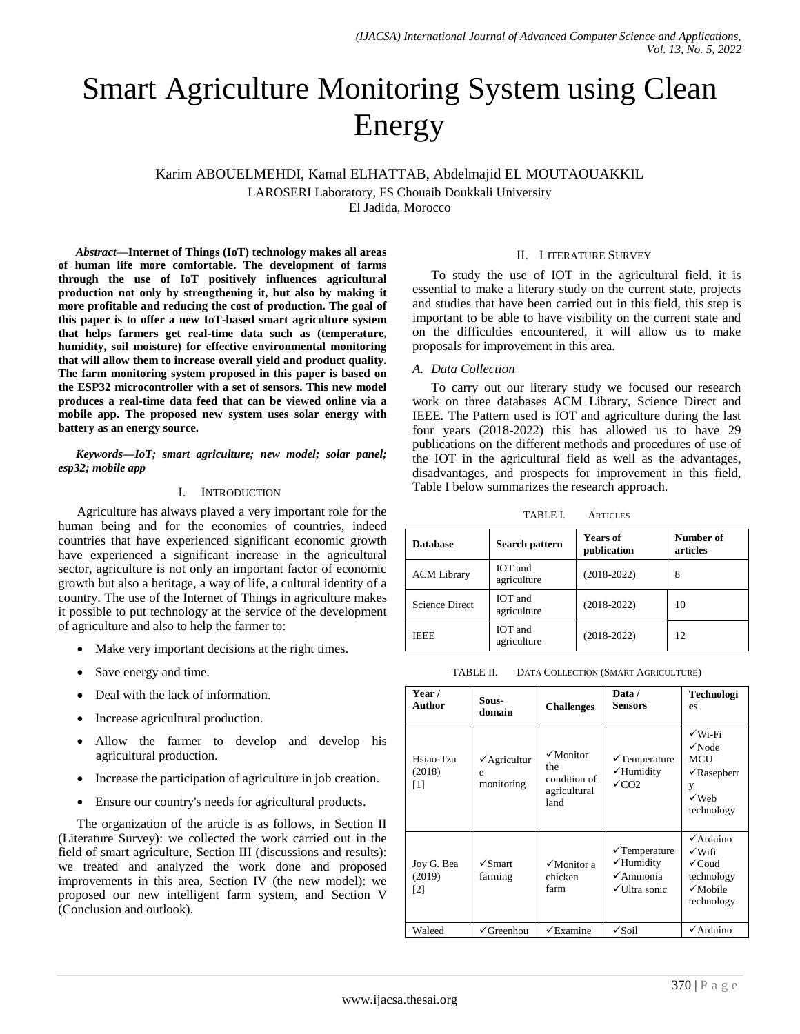# Smart Agriculture Monitoring System using Clean Energy

Karim ABOUELMEHDI, Kamal ELHATTAB, Abdelmajid EL MOUTAOUAKKIL

LAROSERI Laboratory, FS Chouaib Doukkali University

El Jadida, Morocco

*Abstract***—Internet of Things (IoT) technology makes all areas of human life more comfortable. The development of farms through the use of IoT positively influences agricultural production not only by strengthening it, but also by making it more profitable and reducing the cost of production. The goal of this paper is to offer a new IoT-based smart agriculture system that helps farmers get real-time data such as (temperature, humidity, soil moisture) for effective environmental monitoring that will allow them to increase overall yield and product quality. The farm monitoring system proposed in this paper is based on the ESP32 microcontroller with a set of sensors. This new model produces a real-time data feed that can be viewed online via a mobile app. The proposed new system uses solar energy with battery as an energy source.**

*Keywords—IoT; smart agriculture; new model; solar panel; esp32; mobile app*

### I. INTRODUCTION

Agriculture has always played a very important role for the human being and for the economies of countries, indeed countries that have experienced significant economic growth have experienced a significant increase in the agricultural sector, agriculture is not only an important factor of economic growth but also a heritage, a way of life, a cultural identity of a country. The use of the Internet of Things in agriculture makes it possible to put technology at the service of the development of agriculture and also to help the farmer to:

- Make very important decisions at the right times.
- Save energy and time.
- Deal with the lack of information.
- Increase agricultural production.
- Allow the farmer to develop and develop his agricultural production.
- Increase the participation of agriculture in job creation.
- Ensure our country's needs for agricultural products.

The organization of the article is as follows, in Section II (Literature Survey): we collected the work carried out in the field of smart agriculture, Section III (discussions and results): we treated and analyzed the work done and proposed improvements in this area, Section IV (the new model): we proposed our new intelligent farm system, and Section V (Conclusion and outlook).

## II. LITERATURE SURVEY

To study the use of IOT in the agricultural field, it is essential to make a literary study on the current state, projects and studies that have been carried out in this field, this step is important to be able to have visibility on the current state and on the difficulties encountered, it will allow us to make proposals for improvement in this area.

## *A. Data Collection*

To carry out our literary study we focused our research work on three databases ACM Library, Science Direct and IEEE. The Pattern used is IOT and agriculture during the last four years (2018-2022) this has allowed us to have 29 publications on the different methods and procedures of use of the IOT in the agricultural field as well as the advantages, disadvantages, and prospects for improvement in this field, Table I below summarizes the research approach.

TABLE I. ARTICLES

| <b>Database</b>       | Search pattern                | <b>Years of</b><br>publication | Number of<br>articles |
|-----------------------|-------------------------------|--------------------------------|-----------------------|
| <b>ACM Library</b>    | <b>IOT</b> and<br>agriculture | $(2018-2022)$                  | 8                     |
| <b>Science Direct</b> | IOT and<br>agriculture        | $(2018-2022)$                  | 10                    |
| <b>IEEE</b>           | <b>IOT</b> and<br>agriculture | $(2018-2022)$                  | 12                    |

TABLE II. DATA COLLECTION (SMART AGRICULTURE)

| Year /<br>Author            | Sous-<br>domain                            | <b>Challenges</b>                                                      | Data /<br><b>Sensors</b>                                                       | Technologi<br>es                                                                                         |
|-----------------------------|--------------------------------------------|------------------------------------------------------------------------|--------------------------------------------------------------------------------|----------------------------------------------------------------------------------------------------------|
| Hsiao-Tzu<br>(2018)<br>[1]  | $\checkmark$ Agricultur<br>e<br>monitoring | $\sqrt{\text{Monitor}}$<br>the<br>condition of<br>agricultural<br>land | $\checkmark$ Temperature<br>√Humidity<br>$\sqrt{C}$ CO <sub>2</sub>            | $\sqrt{W_i-F_i}$<br>$\sqrt{\text{Node}}$<br>MCU<br>$\sqrt{\text{Rasepberr}}$<br>y<br>√Web<br>technology  |
| Joy G. Bea<br>(2019)<br>[2] | $\sqrt{\text{S}$ mart<br>farming           | $\sqrt{\frac{1}{100}}$ Monitor a<br>chicken<br>farm                    | $\sqrt{\text{T}}$ emperature<br>√Humidity<br>$\sqrt{A}$ mmonia<br>√Ultra sonic | $\checkmark$ Arduino<br>√Wifi<br>$\checkmark$ Coud<br>technology<br>$\sqrt{\text{Mohile}}$<br>technology |
| Waleed                      | $\checkmark$ Greenhou                      | $\checkmark$ Examine                                                   | $\sqrt{\text{Soil}}$                                                           | $\checkmark$ Arduino                                                                                     |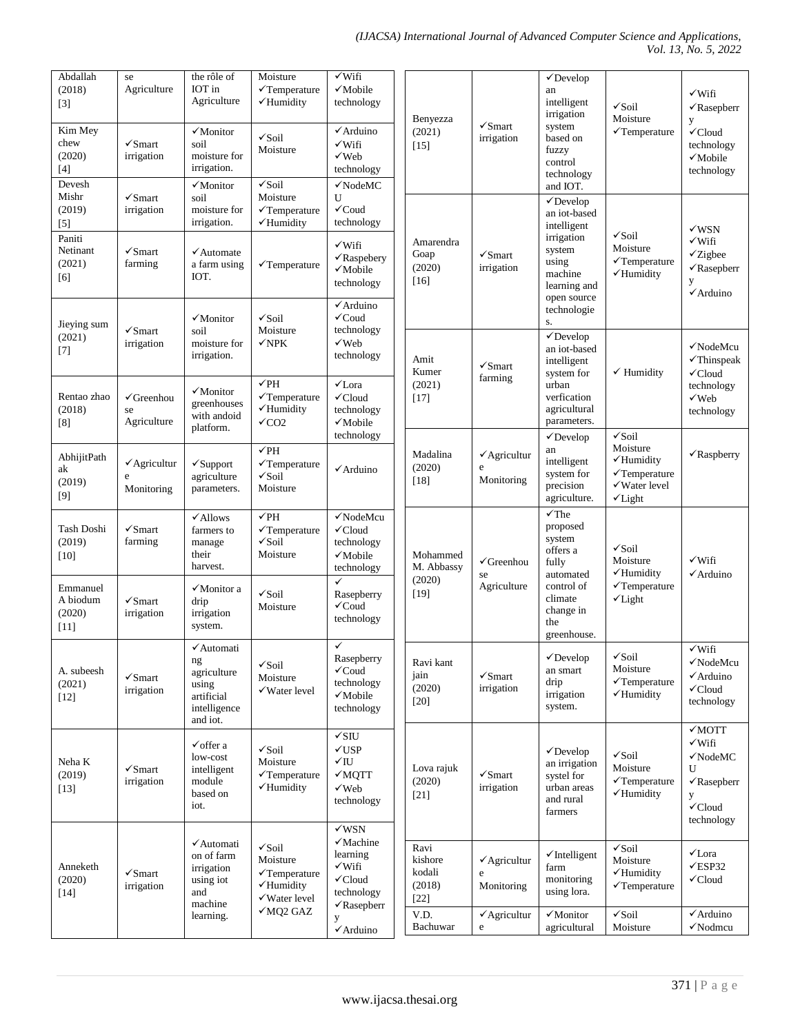#### *(IJACSA) International Journal of Advanced Computer Science and Applications, Vol. 13, No. 5, 2022*

| Abdallah<br>(2018)<br>$[3]$<br>Kim Mey<br>chew<br>(2020)<br>$[4]$<br>Devesh | se<br>Agriculture<br>$\sqrt{\text{S}$ mart<br>irrigation                | the rôle of<br>IOT in<br>Agriculture<br>$\sqrt{\text{Monitor}}$<br>soil<br>moisture for<br>irrigation.<br>$\sqrt{\text{Monitor}}$ | Moisture<br>$\checkmark$ Temperature<br>√Humidity<br>$\sqrt{\text{Soil}}$<br>Moisture<br>$\sqrt{\text{Soil}}$             | $\sqrt{\text{Wifi}}$<br>√Mobile<br>technology<br>√Arduino<br>√Wifi<br>$\sqrt{$ Web<br>technology<br>$\checkmark$ NodeMC                               | Benyezza<br>(2021)<br>$[15]$                                      | $\sqrt{\text{S}$ mart<br>irrigation                                        | $\checkmark$ Develop<br>an<br>intelligent<br>irrigation<br>system<br>based on<br>fuzzy<br>control<br>technology<br>and IOT.                   | $\sqrt{\text{Soil}}$<br>Moisture<br>$\checkmark$ Temperature                                                                | √Wifi<br>$\sqrt{\text{Rasepberr}}$<br>y<br>$\checkmark$ Cloud<br>technology<br>$\sqrt{\text{Mobile}}$<br>technology         |
|-----------------------------------------------------------------------------|-------------------------------------------------------------------------|-----------------------------------------------------------------------------------------------------------------------------------|---------------------------------------------------------------------------------------------------------------------------|-------------------------------------------------------------------------------------------------------------------------------------------------------|-------------------------------------------------------------------|----------------------------------------------------------------------------|-----------------------------------------------------------------------------------------------------------------------------------------------|-----------------------------------------------------------------------------------------------------------------------------|-----------------------------------------------------------------------------------------------------------------------------|
| Mishr<br>(2019)<br>$[5]$<br>Paniti<br>Netinant<br>(2021)<br>[6]             | $\sqrt{\text{S}$ mart<br>irrigation<br>$\sqrt{\text{S}$ mart<br>farming | soil<br>moisture for<br>irrigation.<br>$\checkmark$ Automate<br>a farm using<br>IOT.                                              | Moisture<br>$\checkmark$ Temperature<br>√Humidity<br>$\checkmark$ Temperature                                             | U<br>$\checkmark$ Coud<br>technology<br>$\sqrt{\text{Wiff}}$<br>√Raspebery<br>$\sqrt{\text{Mobile}}$<br>technology<br>√Arduino                        | Amarendra<br>Goap<br>(2020)<br>$[16]$                             | $\sqrt{\text{S}$ mart<br>irrigation                                        | $\checkmark$ Develop<br>an iot-based<br>intelligent<br>irrigation<br>system<br>using<br>machine<br>learning and<br>open source<br>technologie | $\sqrt{\text{Soil}}$<br>Moisture<br>$\checkmark$ Temperature<br>$\checkmark$ Humidity                                       | $\sqrt{W}SN$<br>$\sqrt{\text{W}}$ ifi<br>$\checkmark$ Zigbee<br>$\sqrt{\text{Rasepberr}}$<br>y<br>$\checkmark$ Arduino      |
| Jieying sum<br>(2021)<br>$[7]$<br>Rentao zhao<br>(2018)                     | $\sqrt{\text{S}$ mart<br>irrigation<br>$\checkmark$ Greenhou<br>se      | $\sqrt{\text{Monitor}}$<br>soil<br>moisture for<br>irrigation.<br>$\checkmark$ Monitor<br>greenhouses                             | $\sqrt{\text{Soil}}$<br>Moisture<br>$\sqrt{NPK}$<br>$\sqrt{PH}$<br>$\checkmark$ Temperature<br>√Humidity                  | $\checkmark$ Coud<br>technology<br>$\sqrt{Web}$<br>technology<br>$\sqrt{\text{Lora}}$<br>$\checkmark$ Cloud<br>technology                             | Amit<br>Kumer<br>(2021)<br>$[17]$                                 | $\checkmark$ Smart<br>farming                                              | S.<br>$\checkmark$ Develop<br>an iot-based<br>intelligent<br>system for<br>urban<br>verfication<br>agricultural                               | $\checkmark$ Humidity                                                                                                       | √NodeMcu<br>$\checkmark$ Thinspeak<br>$\checkmark$ Cloud<br>technology<br>$\sqrt{Web}$<br>technology                        |
| [8]<br>AbhijitPath<br>ak<br>(2019)<br>$[9]$                                 | Agriculture<br>$\checkmark$ Agricultur<br>e<br>Monitoring               | with andoid<br>platform.<br>$\checkmark$ Support<br>agriculture<br>parameters.                                                    | $\sqrt{\text{CO2}}$<br>$\sqrt{PH}$<br>$\checkmark$ Temperature<br>$\sqrt{\text{Soil}}$<br>Moisture                        | √Mobile<br>technology<br>√Arduino                                                                                                                     | Madalina<br>(2020)<br>$[18]$                                      | $\checkmark$ Agricultur<br>e<br>Monitoring                                 | parameters.<br>$\checkmark$ Develop<br>an<br>intelligent<br>system for<br>precision<br>agriculture.                                           | $\sqrt{\text{Soil}}$<br>Moisture<br>$\checkmark$ Humidity<br>$\checkmark$ Temperature<br>√Water level<br>$\checkmark$ Light | $\sqrt{\text{Ras}\text{pbr}}$                                                                                               |
| Tash Doshi<br>(2019)<br>$[10]$<br>Emmanuel<br>A biodum<br>(2020)<br>$[11]$  | $\sqrt{\text{S}$ mart<br>farming<br>$\sqrt{\text{S}$ mart<br>irrigation | $\checkmark$ Allows<br>farmers to<br>manage<br>their<br>harvest.<br>√Monitor a<br>drip<br>irrigation<br>system.                   | $\sqrt{PH}$<br>$\checkmark$ Temperature<br>$\checkmark$ Soil<br>Moisture<br>$\sqrt{\text{Soil}}$<br>Moisture              | √NodeMcu<br>$\checkmark$ Cloud<br>technology<br>$\sqrt{\text{Mobile}}$<br>technology<br>$\checkmark$<br>Rasepberry<br>$\checkmark$ Coud<br>technology | Mohammed<br>M. Abbassy<br>(2020)<br>$[19]$                        | $\checkmark$ Greenhou<br>se<br>Agriculture                                 | $\sqrt{r}$ he<br>proposed<br>system<br>offers a<br>fully<br>automated<br>control of<br>climate<br>change in<br>the                            | $\checkmark$ Soil<br>Moisture<br>$\checkmark$ Humidity<br>$\checkmark$ Temperature<br>$\checkmark$ Light                    | $\checkmark$ Wifi<br>$\checkmark$ Arduino                                                                                   |
| A. subeesh<br>(2021)<br>$[12]$                                              | $\sqrt{\text{S}$ mart<br>irrigation                                     | ✔ Automati<br>ng<br>agriculture<br>using<br>artificial<br>intelligence<br>and iot.                                                | $\sqrt{\text{Soil}}$<br>Moisture<br>$\checkmark$ Water level                                                              | $\checkmark$<br>Rasepberry<br>$\checkmark$ Coud<br>technology<br>$\sqrt{\text{Mobile}}$<br>technology                                                 | Ravi kant<br>jain<br>(2020)<br>$[20]$                             | $\sqrt{\text{S}$ mart<br>irrigation                                        | greenhouse.<br>$\sqrt{\text{Develop}}$<br>an smart<br>drip<br>irrigation<br>system.                                                           | $\sqrt{\text{Soil}}$<br>Moisture<br>$\checkmark$ Temperature<br>√Humidity                                                   | $\sqrt{\text{Wiff}}$<br>√NodeMcu<br>$\checkmark$ Arduino<br>$\checkmark$ Cloud<br>technology                                |
| Neha K<br>(2019)<br>$[13]$                                                  | $\sqrt{\text{S}$ mart<br>irrigation                                     | $\checkmark$ offer a<br>low-cost<br>intelligent<br>module<br>based on<br>iot.                                                     | $\sqrt{\text{Soil}}$<br>Moisture<br>$\checkmark$ Temperature<br>√Humidity                                                 | $\sqrt{\mathrm{S}}$<br>$\sqrt{USP}$<br>$\sqrt{}$ IU<br>√MQTT<br>$\sqrt{Web}$<br>technology                                                            | Lova rajuk<br>(2020)<br>$[21]$                                    | $\checkmark$ Smart<br>irrigation                                           | $\sqrt{\text{Develop}}$<br>an irrigation<br>systel for<br>urban areas<br>and rural<br>farmers                                                 | $\sqrt{\text{Soil}}$<br>Moisture<br>$\checkmark$ Temperature<br>√Humidity                                                   | $\sqrt{MOTT}$<br>√Wifi<br>$\sqrt{\text{NodeMC}}$<br>U<br>$\sqrt{\text{Rasepberr}}$<br>y<br>$\checkmark$ Cloud<br>technology |
| Anneketh<br>(2020)<br>$[14]$                                                | $\sqrt{\text{S}$ mart<br>irrigation                                     | √Automati<br>on of farm<br>irrigation<br>using iot<br>and<br>machine<br>learning.                                                 | $\sqrt{\text{Soil}}$<br>Moisture<br>$\checkmark$ Temperature<br>$\checkmark$ Humidity<br>√Water level<br>$\sqrt{MQ2}$ GAZ | $\sqrt{WSN}$<br>√Machine<br>learning<br>√Wifi<br>$\checkmark$ Cloud<br>technology<br>$\sqrt{\text{Rasepberr}}$<br>y<br>$\checkmark$ Arduino           | Ravi<br>kishore<br>kodali<br>(2018)<br>$[22]$<br>V.D.<br>Bachuwar | $\checkmark$ Agricultur<br>e<br>Monitoring<br>$\checkmark$ Agricultur<br>e | $\checkmark$ Intelligent<br>farm<br>monitoring<br>using lora.<br>$\sqrt{\text{Monitor}}$<br>agricultural                                      | $\sqrt{S}$ oil<br>Moisture<br>√Humidity<br>$\checkmark$ Temperature<br>$\sqrt{S}$ oil<br>Moisture                           | $\checkmark$ Lora<br>$\sqrt{ESP32}$<br>$\checkmark$ Cloud<br>√Arduino<br>$\checkmark$ Nodmcu                                |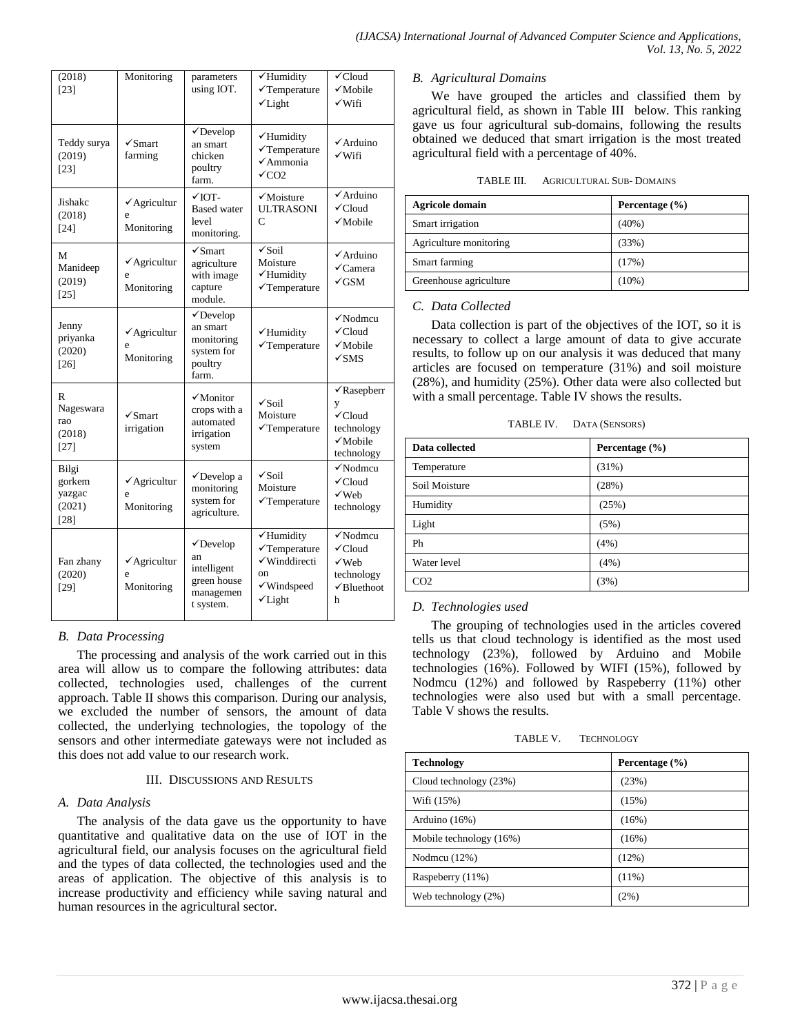| (2018)<br>$[23]$                                                                                                                                                                              | Monitoring                                 | parameters<br>using IOT.                                                                                                                                       | $\overline{\checkmark}$ Humidity<br>$\checkmark$ Temperature<br>$\checkmark$ Light                   | $\checkmark$ Cloud<br>$\sqrt{\text{Mobile}}$<br>$\sqrt{\text{Wifi}}$                                    |
|-----------------------------------------------------------------------------------------------------------------------------------------------------------------------------------------------|--------------------------------------------|----------------------------------------------------------------------------------------------------------------------------------------------------------------|------------------------------------------------------------------------------------------------------|---------------------------------------------------------------------------------------------------------|
| Teddy surya<br>(2019)<br>$[23]$                                                                                                                                                               | $\sqrt{\text{S}$ mart<br>farming           | $\checkmark$ Develop<br>√Humidity<br>an smart<br>$\checkmark$ Temperature<br>chicken<br>$\checkmark$ Ammonia<br>poultry<br>$\sqrt{C}$ CO <sub>2</sub><br>farm. |                                                                                                      | √Arduino<br>$\sqrt{\text{Wifi}}$                                                                        |
| Jishakc<br>(2018)<br>$[24]$                                                                                                                                                                   | $\checkmark$ Agricultur<br>e<br>Monitoring | $\sqrt{10T}$ -<br>$\sqrt{\text{Mo}}$ isture<br><b>Based</b> water<br><b>ULTRASONI</b><br>C<br>level<br>monitoring.                                             |                                                                                                      | $\checkmark$ Arduino<br>$\checkmark$ Cloud<br>$\sqrt{\text{Mobile}}$                                    |
| М<br>Manideep<br>(2019)<br>$[25]$                                                                                                                                                             | $\checkmark$ Agricultur<br>ė<br>Monitoring | $\sqrt{\text{S}$ mart<br>agriculture<br>with image<br>capture<br>module.                                                                                       | $\sqrt{\text{Soil}}$<br>Moisture<br>√Humidity<br>$\checkmark$ Temperature                            | √Arduino<br>$\checkmark$ Camera<br>√GSM                                                                 |
| Jenny<br>priyanka<br>(2020)<br>$[26]$                                                                                                                                                         | $\checkmark$ Agricultur<br>ė<br>Monitoring | $\checkmark$ Develop<br>an smart<br>monitoring<br>system for<br>poultry<br>farm.                                                                               | √Humidity<br>$\checkmark$ Temperature                                                                | $\checkmark$ Nodmcu<br>$\checkmark$ Cloud<br>√Mobile<br>$\sqrt{\rm SMS}$                                |
| R<br>Nageswara<br>rao<br>(2018)<br>$[27]$                                                                                                                                                     | $\sqrt{\text{S}$ mart<br>irrigation        | $\sqrt{\text{Monitor}}$<br>crops with a<br>automated<br>irrigation<br>system                                                                                   | $\sqrt{\text{Soil}}$<br>Moisture<br>$\checkmark$ Temperature                                         | $\sqrt{\text{Rasepberr}}$<br>y<br>$\checkmark$ Cloud<br>technology<br>$\checkmark$ Mobile<br>technology |
| Bilgi<br>gorkem<br>yazgac<br>(2021)<br>$[28]$                                                                                                                                                 | √Agricultur<br>e<br>Monitoring             | $\checkmark$ Develop a<br>monitoring<br>system for<br>agriculture.                                                                                             | $\sqrt{\text{Soil}}$<br>Moisture<br>$\checkmark$ Temperature                                         | $\checkmark$ Nodmcu<br>$\checkmark$ Cloud<br>√Web<br>technology                                         |
| $\checkmark$ Develop<br>an<br>Fan zhany<br>$\checkmark$ Agricultur<br>intelligent<br>(2020)<br>ė<br>on<br>green house<br>Monitoring<br>$[29]$<br>managemen<br>$\checkmark$ Light<br>t system. |                                            | √Humidity<br>$\checkmark$ Temperature<br>√Winddirecti<br>√Windspeed                                                                                            | $\sqrt{\text{Nodmcu}}$<br>$\checkmark$ Cloud<br>√Web<br>technology<br>$\sqrt{\text{Blue}$ thoot<br>h |                                                                                                         |

# *B. Data Processing*

The processing and analysis of the work carried out in this area will allow us to compare the following attributes: data collected, technologies used, challenges of the current approach. Table II shows this comparison. During our analysis, we excluded the number of sensors, the amount of data collected, the underlying technologies, the topology of the sensors and other intermediate gateways were not included as this does not add value to our research work.

### III. DISCUSSIONS AND RESULTS

### *A. Data Analysis*

The analysis of the data gave us the opportunity to have quantitative and qualitative data on the use of IOT in the agricultural field, our analysis focuses on the agricultural field and the types of data collected, the technologies used and the areas of application. The objective of this analysis is to increase productivity and efficiency while saving natural and human resources in the agricultural sector.

## *B. Agricultural Domains*

We have grouped the articles and classified them by agricultural field, as shown in Table III below. This ranking gave us four agricultural sub-domains, following the results obtained we deduced that smart irrigation is the most treated agricultural field with a percentage of 40%.

| TABLE III. | <b>AGRICULTURAL SUB- DOMAINS</b> |
|------------|----------------------------------|
|            |                                  |

| <b>Agricole domain</b> | Percentage $(\% )$ |  |
|------------------------|--------------------|--|
| Smart irrigation       | $(40\%)$           |  |
| Agriculture monitoring | (33%)              |  |
| Smart farming          | (17%)              |  |
| Greenhouse agriculture | $(10\%)$           |  |

# *C. Data Collected*

Data collection is part of the objectives of the IOT, so it is necessary to collect a large amount of data to give accurate results, to follow up on our analysis it was deduced that many articles are focused on temperature (31%) and soil moisture (28%), and humidity (25%). Other data were also collected but with a small percentage. Table IV shows the results.

| Data collected  | Percentage $(\% )$ |
|-----------------|--------------------|
| Temperature     | (31%)              |
| Soil Moisture   | (28%)              |
| Humidity        | (25%)              |
| Light           | (5%)               |
| Ph              | (4%)               |
| Water level     | (4%)               |
| CO <sub>2</sub> | (3%)               |

### *D. Technologies used*

The grouping of technologies used in the articles covered tells us that cloud technology is identified as the most used technology (23%), followed by Arduino and Mobile technologies (16%). Followed by WIFI (15%), followed by Nodmcu (12%) and followed by Raspeberry (11%) other technologies were also used but with a small percentage. Table V shows the results.

| TABLE V. | <b>TECHNOLOGY</b> |
|----------|-------------------|
|          |                   |

| <b>Technology</b>       | Percentage $(\% )$ |
|-------------------------|--------------------|
| Cloud technology (23%)  | (23%)              |
| Wifi (15%)              | (15%)              |
| Arduino $(16%)$         | (16%)              |
| Mobile technology (16%) | (16%)              |
| Nodmcu $(12\%)$         | (12%)              |
| Raspeberry (11%)        | $(11\%)$           |
| Web technology (2%)     | (2%)               |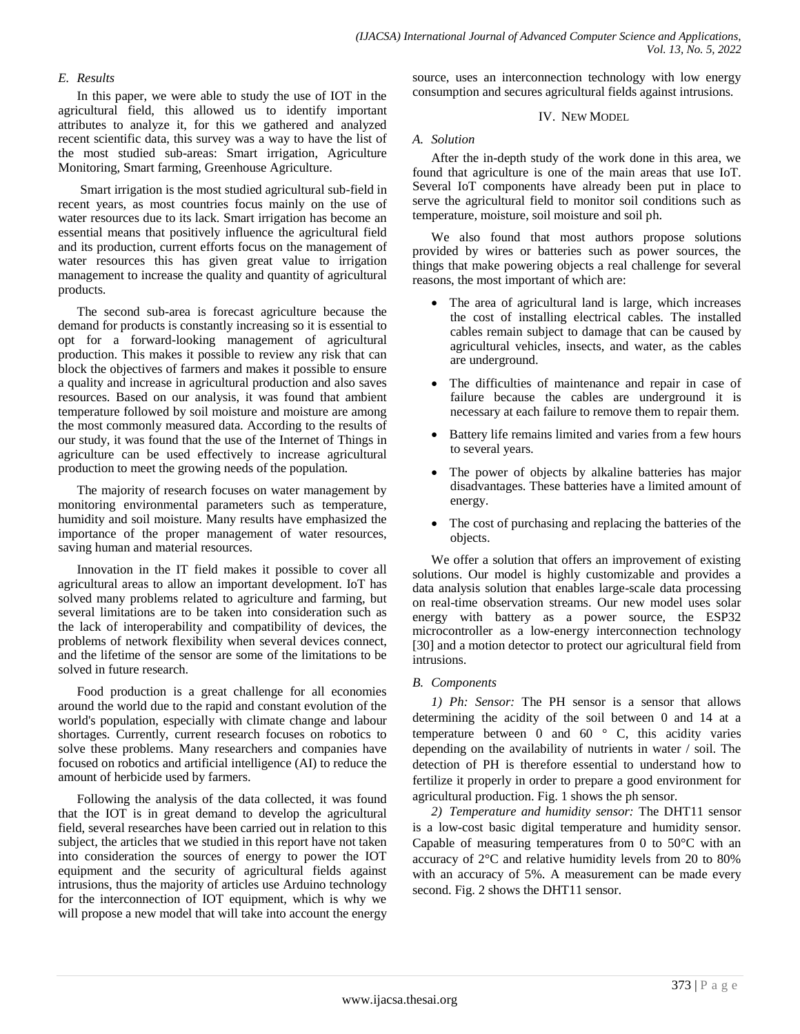## *E. Results*

In this paper, we were able to study the use of IOT in the agricultural field, this allowed us to identify important attributes to analyze it, for this we gathered and analyzed recent scientific data, this survey was a way to have the list of the most studied sub-areas: Smart irrigation, Agriculture Monitoring, Smart farming, Greenhouse Agriculture.

Smart irrigation is the most studied agricultural sub-field in recent years, as most countries focus mainly on the use of water resources due to its lack. Smart irrigation has become an essential means that positively influence the agricultural field and its production, current efforts focus on the management of water resources this has given great value to irrigation management to increase the quality and quantity of agricultural products.

The second sub-area is forecast agriculture because the demand for products is constantly increasing so it is essential to opt for a forward-looking management of agricultural production. This makes it possible to review any risk that can block the objectives of farmers and makes it possible to ensure a quality and increase in agricultural production and also saves resources. Based on our analysis, it was found that ambient temperature followed by soil moisture and moisture are among the most commonly measured data. According to the results of our study, it was found that the use of the Internet of Things in agriculture can be used effectively to increase agricultural production to meet the growing needs of the population.

The majority of research focuses on water management by monitoring environmental parameters such as temperature, humidity and soil moisture. Many results have emphasized the importance of the proper management of water resources, saving human and material resources.

Innovation in the IT field makes it possible to cover all agricultural areas to allow an important development. IoT has solved many problems related to agriculture and farming, but several limitations are to be taken into consideration such as the lack of interoperability and compatibility of devices, the problems of network flexibility when several devices connect, and the lifetime of the sensor are some of the limitations to be solved in future research.

Food production is a great challenge for all economies around the world due to the rapid and constant evolution of the world's population, especially with climate change and labour shortages. Currently, current research focuses on robotics to solve these problems. Many researchers and companies have focused on robotics and artificial intelligence (AI) to reduce the amount of herbicide used by farmers.

Following the analysis of the data collected, it was found that the IOT is in great demand to develop the agricultural field, several researches have been carried out in relation to this subject, the articles that we studied in this report have not taken into consideration the sources of energy to power the IOT equipment and the security of agricultural fields against intrusions, thus the majority of articles use Arduino technology for the interconnection of IOT equipment, which is why we will propose a new model that will take into account the energy source, uses an interconnection technology with low energy consumption and secures agricultural fields against intrusions.

#### IV. NEW MODEL

#### *A. Solution*

After the in-depth study of the work done in this area, we found that agriculture is one of the main areas that use IoT. Several IoT components have already been put in place to serve the agricultural field to monitor soil conditions such as temperature, moisture, soil moisture and soil ph.

We also found that most authors propose solutions provided by wires or batteries such as power sources, the things that make powering objects a real challenge for several reasons, the most important of which are:

- The area of agricultural land is large, which increases the cost of installing electrical cables. The installed cables remain subject to damage that can be caused by agricultural vehicles, insects, and water, as the cables are underground.
- The difficulties of maintenance and repair in case of failure because the cables are underground it is necessary at each failure to remove them to repair them.
- Battery life remains limited and varies from a few hours to several years.
- The power of objects by alkaline batteries has major disadvantages. These batteries have a limited amount of energy.
- The cost of purchasing and replacing the batteries of the objects.

We offer a solution that offers an improvement of existing solutions. Our model is highly customizable and provides a data analysis solution that enables large-scale data processing on real-time observation streams. Our new model uses solar energy with battery as a power source, the ESP32 microcontroller as a low-energy interconnection technology [30] and a motion detector to protect our agricultural field from intrusions.

### *B. Components*

*1) Ph: Sensor:* The PH sensor is a sensor that allows determining the acidity of the soil between 0 and 14 at a temperature between 0 and 60 $\degree$  C, this acidity varies depending on the availability of nutrients in water / soil. The detection of PH is therefore essential to understand how to fertilize it properly in order to prepare a good environment for agricultural production. Fig. 1 shows the ph sensor.

*2) Temperature and humidity sensor:* The DHT11 sensor is a low-cost basic digital temperature and humidity sensor. Capable of measuring temperatures from 0 to  $50^{\circ}$ C with an accuracy of 2°C and relative humidity levels from 20 to 80% with an accuracy of 5%. A measurement can be made every second. Fig. 2 shows the DHT11 sensor.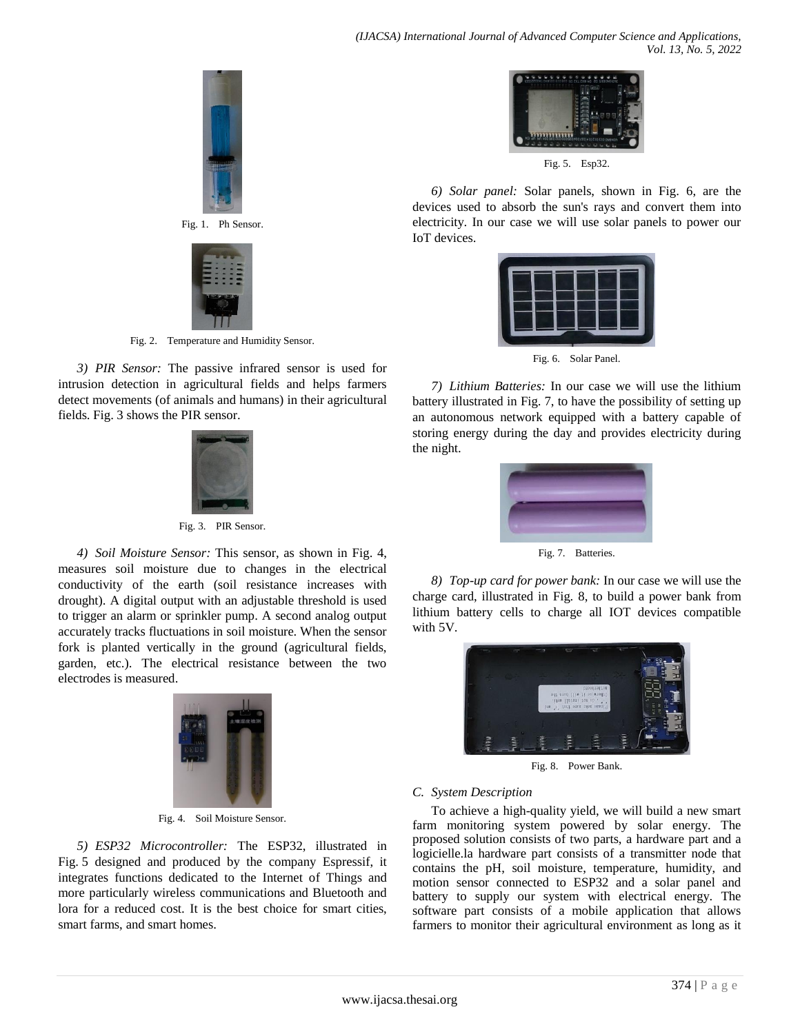

Fig. 1. Ph Sensor.



Fig. 2. Temperature and Humidity Sensor.

*3) PIR Sensor:* The passive infrared sensor is used for intrusion detection in agricultural fields and helps farmers detect movements (of animals and humans) in their agricultural fields. Fig. 3 shows the PIR sensor.



Fig. 3. PIR Sensor.

*4) Soil Moisture Sensor:* This sensor, as shown in Fig. 4, measures soil moisture due to changes in the electrical conductivity of the earth (soil resistance increases with drought). A digital output with an adjustable threshold is used to trigger an alarm or sprinkler pump. A second analog output accurately tracks fluctuations in soil moisture. When the sensor fork is planted vertically in the ground (agricultural fields, garden, etc.). The electrical resistance between the two electrodes is measured.



Fig. 4. Soil Moisture Sensor.

*5) ESP32 Microcontroller:* The ESP32, illustrated in Fig. 5 designed and produced by the company Espressif, it integrates functions dedicated to the Internet of Things and more particularly wireless communications and Bluetooth and lora for a reduced cost. It is the best choice for smart cities, smart farms, and smart homes.



Fig. 5. Esp32.

*6) Solar panel:* Solar panels, shown in Fig. 6, are the devices used to absorb the sun's rays and convert them into electricity. In our case we will use solar panels to power our IoT devices.



Fig. 6. Solar Panel.

*7) Lithium Batteries:* In our case we will use the lithium battery illustrated in Fig. 7, to have the possibility of setting up an autonomous network equipped with a battery capable of storing energy during the day and provides electricity during the night.



Fig. 7. Batteries.

*8) Top-up card for power bank:* In our case we will use the charge card, illustrated in Fig. 8, to build a power bank from lithium battery cells to charge all IOT devices compatible with 5V.



Fig. 8. Power Bank.

# *C. System Description*

To achieve a high-quality yield, we will build a new smart farm monitoring system powered by solar energy. The proposed solution consists of two parts, a hardware part and a logicielle.la hardware part consists of a transmitter node that contains the pH, soil moisture, temperature, humidity, and motion sensor connected to ESP32 and a solar panel and battery to supply our system with electrical energy. The software part consists of a mobile application that allows farmers to monitor their agricultural environment as long as it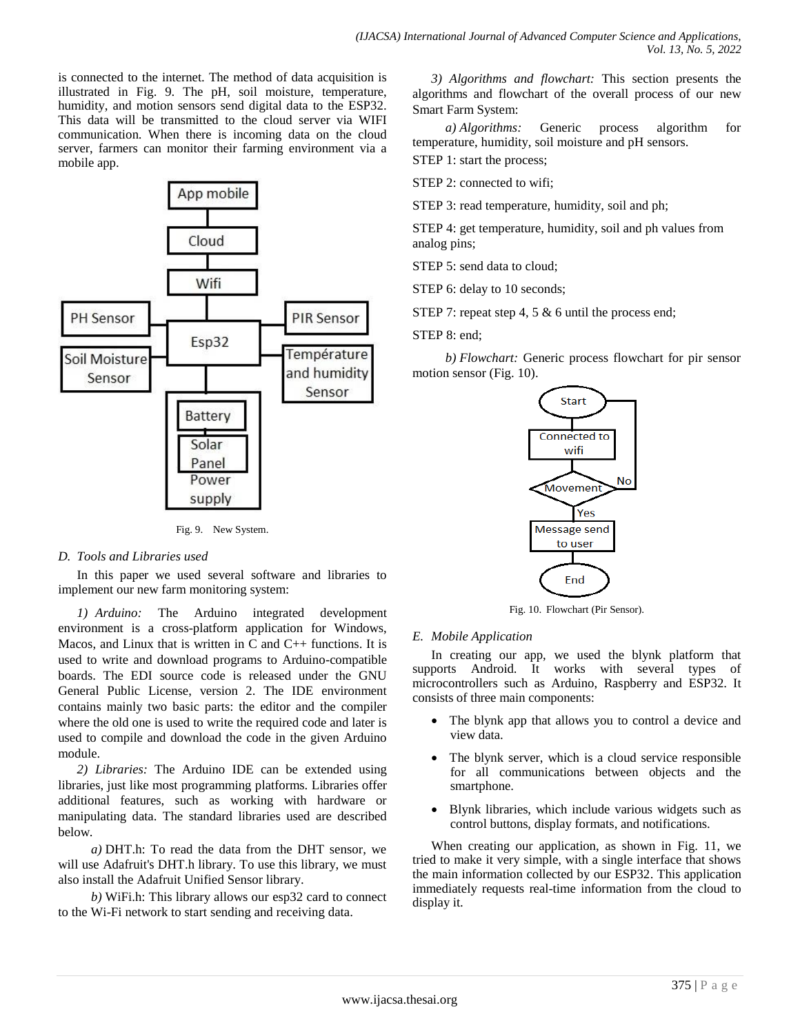is connected to the internet. The method of data acquisition is illustrated in Fig. 9. The pH, soil moisture, temperature, humidity, and motion sensors send digital data to the ESP32. This data will be transmitted to the cloud server via WIFI communication. When there is incoming data on the cloud server, farmers can monitor their farming environment via a mobile app.



Fig. 9. New System.

## *D. Tools and Libraries used*

In this paper we used several software and libraries to implement our new farm monitoring system:

*1) Arduino:* The Arduino integrated development environment is a cross-platform application for Windows, Macos, and Linux that is written in  $C$  and  $C_{++}$  functions. It is used to write and download programs to Arduino-compatible boards. The EDI source code is released under the GNU General Public License, version 2. The IDE environment contains mainly two basic parts: the editor and the compiler where the old one is used to write the required code and later is used to compile and download the code in the given Arduino module.

*2) Libraries:* The Arduino IDE can be extended using libraries, just like most programming platforms. Libraries offer additional features, such as working with hardware or manipulating data. The standard libraries used are described below.

*a)* DHT.h: To read the data from the DHT sensor, we will use Adafruit's DHT.h library. To use this library, we must also install the Adafruit Unified Sensor library.

*b)* WiFi.h: This library allows our esp32 card to connect to the Wi-Fi network to start sending and receiving data.

*3) Algorithms and flowchart:* This section presents the algorithms and flowchart of the overall process of our new Smart Farm System:

*a) Algorithms:* Generic process algorithm for temperature, humidity, soil moisture and pH sensors. STEP 1: start the process;

STEP 2: connected to wifi;

STEP 3: read temperature, humidity, soil and ph;

STEP 4: get temperature, humidity, soil and ph values from analog pins;

STEP 5: send data to cloud;

STEP 6: delay to 10 seconds:

STEP 7: repeat step 4, 5 & 6 until the process end;

STEP 8: end;

*b) Flowchart:* Generic process flowchart for pir sensor motion sensor (Fig. 10).



Fig. 10. Flowchart (Pir Sensor).

## *E. Mobile Application*

In creating our app, we used the blynk platform that supports Android. It works with several types of microcontrollers such as Arduino, Raspberry and ESP32. It consists of three main components:

- The blynk app that allows you to control a device and view data.
- The blynk server, which is a cloud service responsible for all communications between objects and the smartphone.
- Blynk libraries, which include various widgets such as control buttons, display formats, and notifications.

When creating our application, as shown in Fig. 11, we tried to make it very simple, with a single interface that shows the main information collected by our ESP32. This application immediately requests real-time information from the cloud to display it.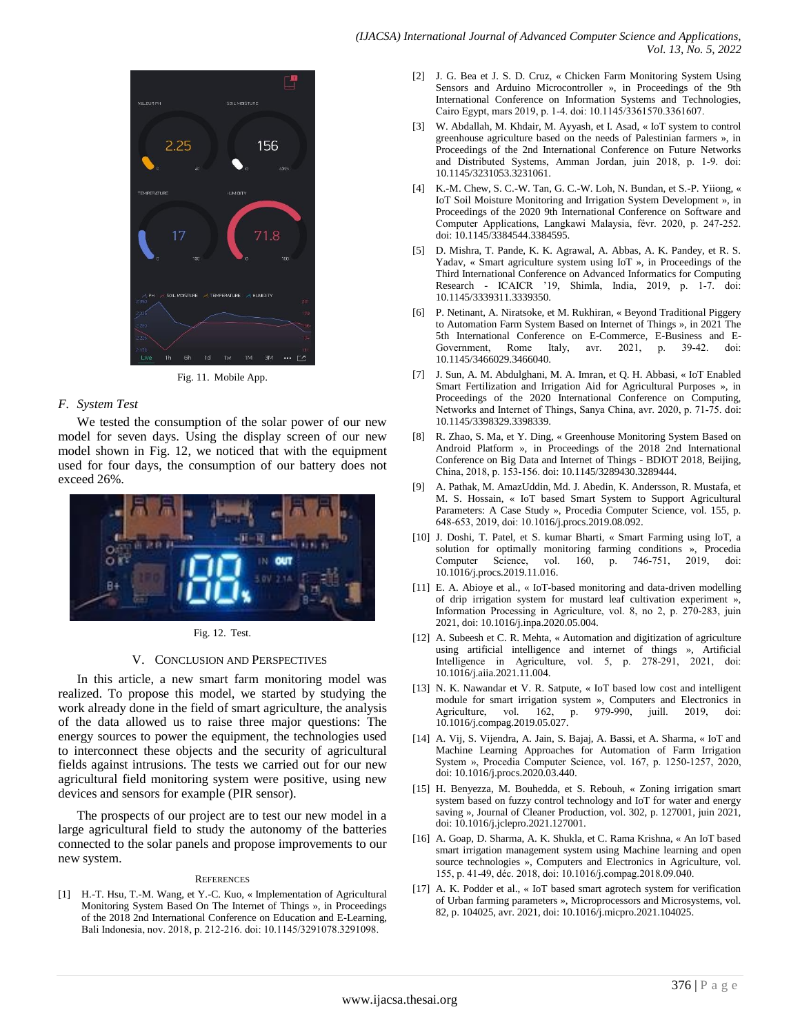

Fig. 11. Mobile App.

#### *F. System Test*

We tested the consumption of the solar power of our new model for seven days. Using the display screen of our new model shown in Fig. 12, we noticed that with the equipment used for four days, the consumption of our battery does not exceed 26%.



Fig. 12. Test.

#### V. CONCLUSION AND PERSPECTIVES

In this article, a new smart farm monitoring model was realized. To propose this model, we started by studying the work already done in the field of smart agriculture, the analysis of the data allowed us to raise three major questions: The energy sources to power the equipment, the technologies used to interconnect these objects and the security of agricultural fields against intrusions. The tests we carried out for our new agricultural field monitoring system were positive, using new devices and sensors for example (PIR sensor).

The prospects of our project are to test our new model in a large agricultural field to study the autonomy of the batteries connected to the solar panels and propose improvements to our new system.

#### **REFERENCES**

[1] H.-T. Hsu, T.-M. Wang, et Y.-C. Kuo, « Implementation of Agricultural Monitoring System Based On The Internet of Things », in Proceedings of the 2018 2nd International Conference on Education and E-Learning, Bali Indonesia, nov. 2018, p. 212‑216. doi: 10.1145/3291078.3291098.

- [2] J. G. Bea et J. S. D. Cruz, « Chicken Farm Monitoring System Using Sensors and Arduino Microcontroller », in Proceedings of the 9th International Conference on Information Systems and Technologies, Cairo Egypt, mars 2019, p. 1‑4. doi: 10.1145/3361570.3361607.
- [3] W. Abdallah, M. Khdair, M. Ayyash, et I. Asad, « IoT system to control greenhouse agriculture based on the needs of Palestinian farmers », in Proceedings of the 2nd International Conference on Future Networks and Distributed Systems, Amman Jordan, juin 2018, p. 1‑9. doi: 10.1145/3231053.3231061.
- [4] K.-M. Chew, S. C.-W. Tan, G. C.-W. Loh, N. Bundan, et S.-P. Yiiong, « IoT Soil Moisture Monitoring and Irrigation System Development », in Proceedings of the 2020 9th International Conference on Software and Computer Applications, Langkawi Malaysia, févr. 2020, p. 247‑252. doi: 10.1145/3384544.3384595.
- [5] D. Mishra, T. Pande, K. K. Agrawal, A. Abbas, A. K. Pandey, et R. S. Yadav, « Smart agriculture system using IoT », in Proceedings of the Third International Conference on Advanced Informatics for Computing Research - ICAICR '19, Shimla, India, 2019, p. 1-7. doi: 10.1145/3339311.3339350.
- [6] P. Netinant, A. Niratsoke, et M. Rukhiran, « Beyond Traditional Piggery to Automation Farm System Based on Internet of Things », in 2021 The 5th International Conference on E-Commerce, E-Business and E-Government, Rome Italy, avr. 2021, p. 39-42. doi: 10.1145/3466029.3466040.
- [7] J. Sun, A. M. Abdulghani, M. A. Imran, et Q. H. Abbasi, « IoT Enabled Smart Fertilization and Irrigation Aid for Agricultural Purposes », in Proceedings of the 2020 International Conference on Computing, Networks and Internet of Things, Sanya China, avr. 2020, p. 71‑75. doi: 10.1145/3398329.3398339.
- [8] R. Zhao, S. Ma, et Y. Ding, « Greenhouse Monitoring System Based on Android Platform », in Proceedings of the 2018 2nd International Conference on Big Data and Internet of Things - BDIOT 2018, Beijing, China, 2018, p. 153‑156. doi: 10.1145/3289430.3289444.
- [9] A. Pathak, M. AmazUddin, Md. J. Abedin, K. Andersson, R. Mustafa, et M. S. Hossain, « IoT based Smart System to Support Agricultural Parameters: A Case Study », Procedia Computer Science, vol. 155, p. 648‑653, 2019, doi: 10.1016/j.procs.2019.08.092.
- [10] J. Doshi, T. Patel, et S. kumar Bharti, « Smart Farming using IoT, a solution for optimally monitoring farming conditions », Procedia Computer Science, vol. 160, p. 746‑751, 2019, doi: 10.1016/j.procs.2019.11.016.
- [11] E. A. Abioye et al., « IoT-based monitoring and data-driven modelling of drip irrigation system for mustard leaf cultivation experiment », Information Processing in Agriculture, vol. 8, no 2, p. 270‑283, juin 2021, doi: 10.1016/j.inpa.2020.05.004.
- [12] A. Subeesh et C. R. Mehta, « Automation and digitization of agriculture using artificial intelligence and internet of things », Artificial Intelligence in Agriculture, vol. 5, p. 278‑291, 2021, doi: 10.1016/j.aiia.2021.11.004.
- [13] N. K. Nawandar et V. R. Satpute, « IoT based low cost and intelligent module for smart irrigation system », Computers and Electronics in Agriculture, vol. 162, p. 979‑990, juill. 2019, doi: 10.1016/j.compag.2019.05.027.
- [14] A. Vij, S. Vijendra, A. Jain, S. Bajaj, A. Bassi, et A. Sharma, « IoT and Machine Learning Approaches for Automation of Farm Irrigation System », Procedia Computer Science, vol. 167, p. 1250-1257, 2020, doi: 10.1016/j.procs.2020.03.440.
- [15] H. Benyezza, M. Bouhedda, et S. Rebouh, « Zoning irrigation smart system based on fuzzy control technology and IoT for water and energy saving », Journal of Cleaner Production, vol. 302, p. 127001, juin 2021, doi: 10.1016/j.jclepro.2021.127001.
- [16] A. Goap, D. Sharma, A. K. Shukla, et C. Rama Krishna, « An IoT based smart irrigation management system using Machine learning and open source technologies », Computers and Electronics in Agriculture, vol. 155, p. 41‑49, déc. 2018, doi: 10.1016/j.compag.2018.09.040.
- [17] A. K. Podder et al., « IoT based smart agrotech system for verification of Urban farming parameters », Microprocessors and Microsystems, vol. 82, p. 104025, avr. 2021, doi: 10.1016/j.micpro.2021.104025.